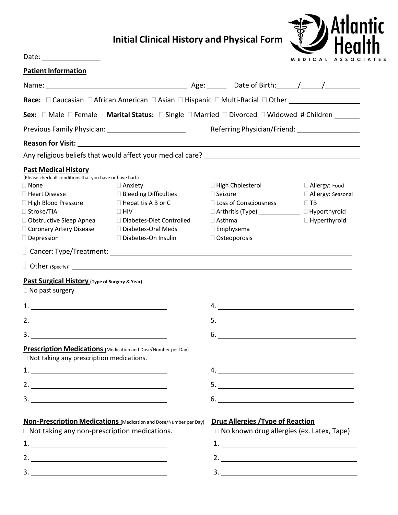## **Initial Clinical History and Physical Form**



| Date: _________________                                                                                                                                                                                                    |                                                                                                                                                                          |                                                                                                                                                                                        | MEDICAL ASSOC                                                              |  |
|----------------------------------------------------------------------------------------------------------------------------------------------------------------------------------------------------------------------------|--------------------------------------------------------------------------------------------------------------------------------------------------------------------------|----------------------------------------------------------------------------------------------------------------------------------------------------------------------------------------|----------------------------------------------------------------------------|--|
| <b>Patient Information</b>                                                                                                                                                                                                 |                                                                                                                                                                          |                                                                                                                                                                                        |                                                                            |  |
|                                                                                                                                                                                                                            |                                                                                                                                                                          |                                                                                                                                                                                        |                                                                            |  |
|                                                                                                                                                                                                                            | Race: □ Caucasian □ African American □ Asian □ Hispanic □ Multi-Racial □ Other ____________________                                                                      |                                                                                                                                                                                        |                                                                            |  |
|                                                                                                                                                                                                                            | <b>Sex:</b> $\Box$ Male $\Box$ Female <b>Marital Status:</b> $\Box$ Single $\Box$ Married $\Box$ Divorced $\Box$ Widowed # Children                                      |                                                                                                                                                                                        |                                                                            |  |
|                                                                                                                                                                                                                            | Previous Family Physician: _____________________________                                                                                                                 |                                                                                                                                                                                        | Referring Physician/Friend: National Physician/Friend:                     |  |
|                                                                                                                                                                                                                            |                                                                                                                                                                          |                                                                                                                                                                                        |                                                                            |  |
|                                                                                                                                                                                                                            | Any religious beliefs that would affect your medical care?<br>Any religious beliefs that would affect your medical care?                                                 |                                                                                                                                                                                        |                                                                            |  |
| <b>Past Medical History</b>                                                                                                                                                                                                |                                                                                                                                                                          |                                                                                                                                                                                        |                                                                            |  |
| (Please check all conditions that you have or have had.)<br>$\Box$ None<br>$\Box$ Heart Disease<br>$\Box$ High Blood Pressure<br>□ Stroke/TIA<br>□ Obstructive Sleep Apnea<br>Coronary Artery Disease<br>$\Box$ Depression | $\Box$ Anxiety<br>$\Box$ Bleeding Difficulties<br>$\Box$ Hepatitis A B or C<br>$\Box$ HIV<br>□ Diabetes-Diet Controlled<br>□ Diabetes-Oral Meds<br>□ Diabetes-On Insulin | $\Box$ High Cholesterol<br>$\square$ Seizure<br>□ Loss of Consciousness<br>□ Arthritis (Type) _______________ □ Hyporthyroid<br>$\Box$ Asthma<br>$\square$ Emphysema<br>□ Osteoporosis | □ Allergy: Food<br>□ Allergy: Seasonal<br>$\Box$ TB<br>$\Box$ Hyperthyroid |  |
|                                                                                                                                                                                                                            |                                                                                                                                                                          |                                                                                                                                                                                        |                                                                            |  |
|                                                                                                                                                                                                                            | $\Box$ Other (Specify): $\Box$                                                                                                                                           |                                                                                                                                                                                        |                                                                            |  |
| <b>Past Surgical History (Type of Surgery &amp; Year)</b>                                                                                                                                                                  |                                                                                                                                                                          |                                                                                                                                                                                        |                                                                            |  |
| $\Box$ No past surgery                                                                                                                                                                                                     |                                                                                                                                                                          |                                                                                                                                                                                        |                                                                            |  |
|                                                                                                                                                                                                                            |                                                                                                                                                                          | 4.                                                                                                                                                                                     |                                                                            |  |
| 2. $\overline{\phantom{a}}$                                                                                                                                                                                                |                                                                                                                                                                          |                                                                                                                                                                                        |                                                                            |  |
| $\overline{\mathbf{3.}}$                                                                                                                                                                                                   |                                                                                                                                                                          | 6.                                                                                                                                                                                     |                                                                            |  |
| $\Box$ Not taking any prescription medications.                                                                                                                                                                            | Prescription Medications (Medication and Dose/Number per Day)                                                                                                            |                                                                                                                                                                                        |                                                                            |  |
|                                                                                                                                                                                                                            |                                                                                                                                                                          |                                                                                                                                                                                        |                                                                            |  |
| $2.$ $\overline{\phantom{a}}$                                                                                                                                                                                              |                                                                                                                                                                          |                                                                                                                                                                                        |                                                                            |  |
|                                                                                                                                                                                                                            |                                                                                                                                                                          | $6.$ $\overline{\phantom{a}}$                                                                                                                                                          |                                                                            |  |
| □ Not taking any non-prescription medications.                                                                                                                                                                             | Non-Prescription Medications (Medication and Dose/Number per Day)                                                                                                        | <b>Drug Allergies / Type of Reaction</b><br>□ No known drug allergies (ex. Latex, Tape)                                                                                                |                                                                            |  |
| 2. $\overline{\phantom{a}}$                                                                                                                                                                                                |                                                                                                                                                                          |                                                                                                                                                                                        |                                                                            |  |

3.

3.